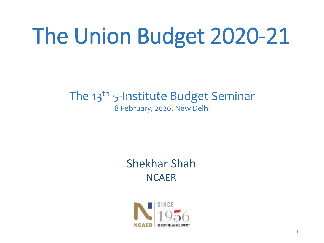# The Union Budget 2020-21

#### The 13<sup>th</sup> 5-Institute Budget Seminar 8 February, 2020, New Delhi

#### Shekhar Shah **NCAER**

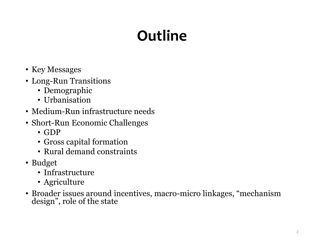# **Outline**

- Key Messages
- Long-Run Transitions
	- Demographic
	- Urbanisation
- Medium-Run infrastructure needs
- Short-Run Economic Challenges
	- GDP
	- Gross capital formation
	- Rural demand constraints
- Budget
	- Infrastructure
	- Agriculture
- Broader issues around incentives, macro-micro linkages, "mechanism design", role of the state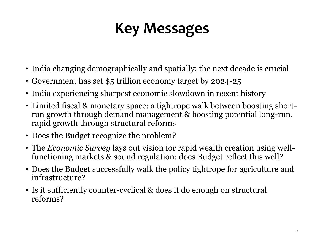# **Key Messages**

- India changing demographically and spatially: the next decade is crucial
- Government has set \$5 trillion economy target by 2024-25
- India experiencing sharpest economic slowdown in recent history
- Limited fiscal & monetary space: a tightrope walk between boosting shortrun growth through demand management & boosting potential long-run, rapid growth through structural reforms
- Does the Budget recognize the problem?
- The *Economic Survey* lays out vision for rapid wealth creation using wellfunctioning markets & sound regulation: does Budget reflect this well?
- Does the Budget successfully walk the policy tightrope for agriculture and infrastructure?
- Is it sufficiently counter-cyclical & does it do enough on structural reforms?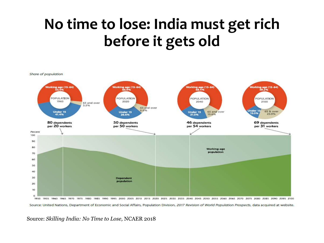# **No time to lose: India must get rich before it gets old**



1950 1955 1960 1965 1970 1975 1980 1985 1990 1995 2000 2005 2010 2015 2020 2025 2030 2035 2040 2045 2050 2055 2060 2065 2070 2075 2080 2085 2090 2095 2100 Source: United Nations, Department of Economic and Social Affairs, Population Division, 2017 Revision of World Population Prospects, data acquired at website.

Source: *Skilling India: No Time to Lose,* NCAER 2018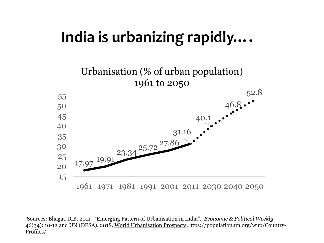### **India is urbanizing rapidly….**



Sources: Bhagat, R.B. 2011. "Emerging Pattern of Urbanisation in India". *Economic & Political Weekly*. 46(34): 10-12 and UN (DESA). 2018. World Urbanisation Prospects. ttps://population.un.org/wup/Country-Profiles/.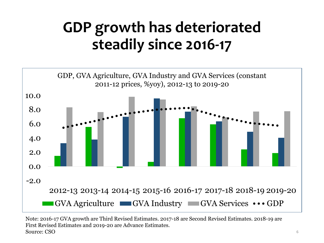# **GDP growth has deteriorated steadily since 2016-17**



Note: 2016-17 GVA growth are Third Revised Estimates. 2017-18 are Second Revised Estimates. 2018-19 are First Revised Estimates and 2019-20 are Advance Estimates. Source: CSO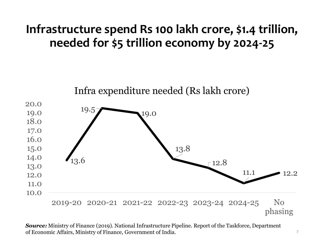#### **Infrastructure spend Rs 100 lakh crore, \$1.4 trillion, needed for \$5 trillion economy by 2024-25**



*Source:* Ministry of Finance (2019). National Infrastructure Pipeline. Report of the Taskforce, Department of Economic Affairs, Ministry of Finance, Government of India.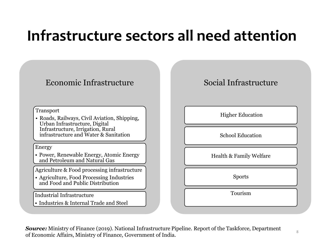### **Infrastructure sectors all need attention**



*Source:* Ministry of Finance (2019). National Infrastructure Pipeline. Report of the Taskforce, Department of Economic Affairs, Ministry of Finance, Government of India.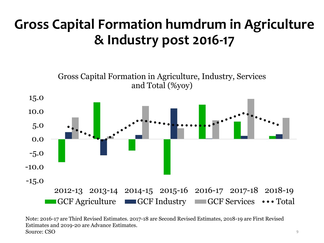### **Gross Capital Formation humdrum in Agriculture & Industry post 2016-17**

-15.0 -10.0 -5.0 0.0 5.0 10.0 15.0 2012-13 2013-14 2014-15 2015-16 2016-17 2017-18 2018-19 Gross Capital Formation in Agriculture, Industry, Services and Total (%yoy) GCF Agriculture GCF Industry GCF Services  $\cdots$  Total

Note: 2016-17 are Third Revised Estimates. 2017-18 are Second Revised Estimates, 2018-19 are First Revised Estimates and 2019-20 are Advance Estimates. Source: CSO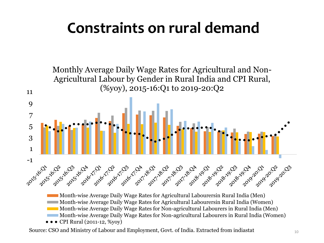# **Constraints on rural demand**



 $\bullet \bullet \bullet$  CPI Rural (2011-12, %yoy)

Source: CSO and Ministry of Labour and Employment, Govt. of India. Extracted from indiastat 10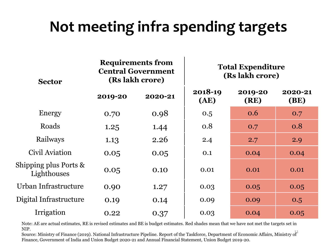## **Not meeting infra spending targets**

| <b>Sector</b>                        | <b>Requirements from</b><br><b>Central Government</b><br>(Rs lakh crore) |         | <b>Total Expenditure</b><br>(Rs lakh crore) |                 |                        |
|--------------------------------------|--------------------------------------------------------------------------|---------|---------------------------------------------|-----------------|------------------------|
|                                      | 2019-20                                                                  | 2020-21 | 2018-19<br>(AE)                             | 2019-20<br>(RE) | 2020-21<br><b>(BE)</b> |
| Energy                               | 0.70                                                                     | 0.98    | 0.5                                         | 0.6             | 0.7                    |
| Roads                                | 1.25                                                                     | 1.44    | 0.8                                         | 0.7             | 0.8                    |
| Railways                             | 1.13                                                                     | 2.26    | 2.4                                         | 2.7             | 2.9                    |
| Civil Aviation                       | 0.05                                                                     | 0.05    | 0.1                                         | 0.04            | 0.04                   |
| Shipping plus Ports &<br>Lighthouses | 0.05                                                                     | 0.10    | 0.01                                        | 0.01            | 0.01                   |
| Urban Infrastructure                 | 0.90                                                                     | 1.27    | 0.03                                        | 0.05            | 0.05                   |
| Digital Infrastructure               | 0.19                                                                     | 0.14    | 0.09                                        | 0.09            | 0.5                    |
| Irrigation                           | 0.22                                                                     | 0.37    | 0.03                                        | 0.04            | 0.05                   |

Note: AE are actual estimates, RE is revised estimates and BE is budget estimates. Red shades mean that we have not met the targets set in NIP.

11 Source: Ministry of Finance (2019). National Infrastructure Pipeline. Report of the Taskforce, Department of Economic Affairs, Ministry of Finance, Government of India and Union Budget 2020-21 and Annual Financial Statement, Union Budget 2019-20.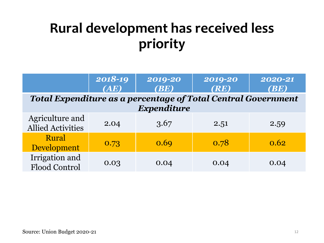### **Rural development has received less priority**

|                                                               | 2018-19 | 2019-20 | 2019-20 | $2020 - 21$ |  |
|---------------------------------------------------------------|---------|---------|---------|-------------|--|
|                                                               | (AE)    | (BE)    | (RE)    | (BE)        |  |
| Total Expenditure as a percentage of Total Central Government |         |         |         |             |  |
| Expenditure                                                   |         |         |         |             |  |
| Agriculture and<br><b>Allied Activities</b>                   | 2.04    | 3.67    | 2.51    | 2.59        |  |
| Rural<br>Development                                          | 0.73    | 0.69    | 0.78    | 0.62        |  |
| Irrigation and<br>Flood Control                               | 0.03    | 0.04    | 0.04    | 0.04        |  |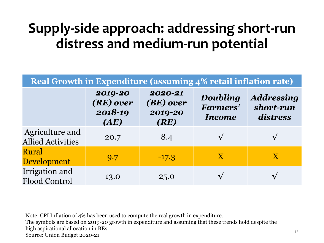### **Supply-side approach: addressing short-run distress and medium-run potential**

| Real Growth in Expenditure (assuming 4% retail inflation rate) |                                         |                                         |                                       |                                            |  |
|----------------------------------------------------------------|-----------------------------------------|-----------------------------------------|---------------------------------------|--------------------------------------------|--|
|                                                                | 2019-20<br>(RE) over<br>2018-19<br>(AE) | 2020-21<br>(BE) over<br>2019-20<br>(RE) | Doubling<br>Farmers'<br><b>Income</b> | <b>Addressing</b><br>short-run<br>distress |  |
| Agriculture and<br><b>Allied Activities</b>                    | 20.7                                    | 8.4                                     |                                       |                                            |  |
| <b>Rural</b><br><b>Development</b>                             | 9.7                                     | $-17.3$                                 | $\mathbf{X}$                          | X                                          |  |
| Irrigation and<br><b>Flood Control</b>                         | 13.0                                    | 25.0                                    |                                       |                                            |  |

Note: CPI Inflation of 4% has been used to compute the real growth in expenditure. The symbols are based on 2019-20 growth in expenditure and assuming that these trends hold despite the high aspirational allocation in BEs Source: Union Budget 2020-21